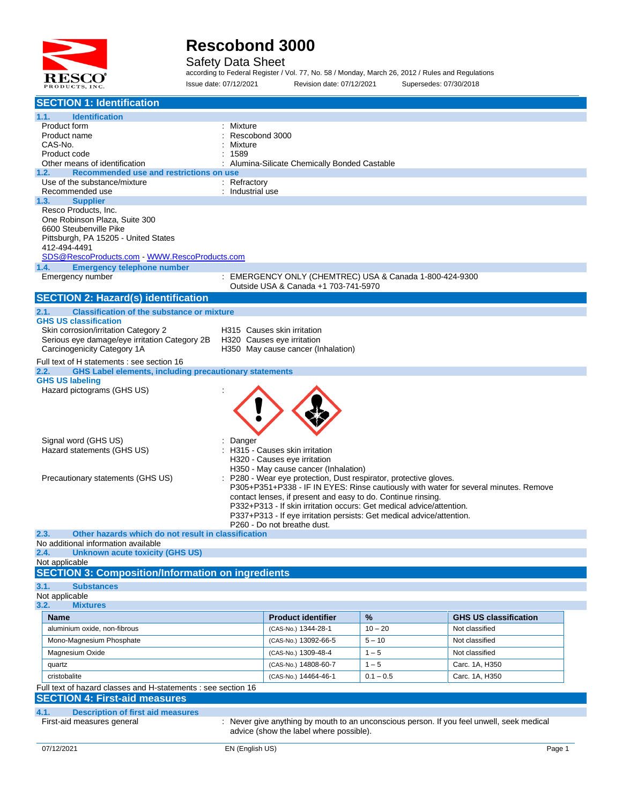

Safety Data Sheet

according to Federal Register / Vol. 77, No. 58 / Monday, March 26, 2012 / Rules and Regulations Issue date: 07/12/2021 Revision date: 07/12/2021 Supersedes: 07/30/2018

| <b>SECTION 1: Identification</b>                                                                                                                                                                                                                                                     |                                                                                                                                                                                                                                                                                                                                                                                                                    |                   |                                                |
|--------------------------------------------------------------------------------------------------------------------------------------------------------------------------------------------------------------------------------------------------------------------------------------|--------------------------------------------------------------------------------------------------------------------------------------------------------------------------------------------------------------------------------------------------------------------------------------------------------------------------------------------------------------------------------------------------------------------|-------------------|------------------------------------------------|
| <b>Identification</b><br>1.1.<br>Product form<br>Product name<br>CAS-No.                                                                                                                                                                                                             | Mixture<br>Rescobond 3000<br>Mixture                                                                                                                                                                                                                                                                                                                                                                               |                   |                                                |
| Product code<br>Other means of identification                                                                                                                                                                                                                                        | 1589<br>Alumina-Silicate Chemically Bonded Castable                                                                                                                                                                                                                                                                                                                                                                |                   |                                                |
| Recommended use and restrictions on use<br>1.2.<br>Use of the substance/mixture                                                                                                                                                                                                      | : Refractory                                                                                                                                                                                                                                                                                                                                                                                                       |                   |                                                |
| Recommended use                                                                                                                                                                                                                                                                      | : Industrial use                                                                                                                                                                                                                                                                                                                                                                                                   |                   |                                                |
| 1.3.<br><b>Supplier</b><br>Resco Products, Inc.<br>One Robinson Plaza, Suite 300<br>6600 Steubenville Pike<br>Pittsburgh, PA 15205 - United States<br>412-494-4491<br>SDS@RescoProducts.com - WWW.RescoProducts.com<br><b>Emergency telephone number</b><br>1.4.<br>Emergency number | : EMERGENCY ONLY (CHEMTREC) USA & Canada 1-800-424-9300                                                                                                                                                                                                                                                                                                                                                            |                   |                                                |
|                                                                                                                                                                                                                                                                                      | Outside USA & Canada +1 703-741-5970                                                                                                                                                                                                                                                                                                                                                                               |                   |                                                |
| <b>SECTION 2: Hazard(s) identification</b>                                                                                                                                                                                                                                           |                                                                                                                                                                                                                                                                                                                                                                                                                    |                   |                                                |
| <b>Classification of the substance or mixture</b><br>2.1.<br><b>GHS US classification</b><br>Skin corrosion/irritation Category 2<br>Serious eye damage/eye irritation Category 2B<br>Carcinogenicity Category 1A                                                                    | H315 Causes skin irritation<br>H320 Causes eye irritation<br>H350 May cause cancer (Inhalation)                                                                                                                                                                                                                                                                                                                    |                   |                                                |
| Full text of H statements : see section 16                                                                                                                                                                                                                                           |                                                                                                                                                                                                                                                                                                                                                                                                                    |                   |                                                |
| <b>GHS Label elements, including precautionary statements</b><br>2.2.<br><b>GHS US labeling</b>                                                                                                                                                                                      |                                                                                                                                                                                                                                                                                                                                                                                                                    |                   |                                                |
| Hazard pictograms (GHS US)                                                                                                                                                                                                                                                           |                                                                                                                                                                                                                                                                                                                                                                                                                    |                   |                                                |
| Signal word (GHS US)<br>Hazard statements (GHS US)<br>Precautionary statements (GHS US)                                                                                                                                                                                              | Danger<br>H315 - Causes skin irritation<br>H320 - Causes eye irritation<br>H350 - May cause cancer (Inhalation)<br>P280 - Wear eye protection, Dust respirator, protective gloves.<br>P305+P351+P338 - IF IN EYES: Rinse cautiously with water for several minutes. Remove<br>contact lenses, if present and easy to do. Continue rinsing.<br>P332+P313 - If skin irritation occurs: Get medical advice/attention. |                   |                                                |
|                                                                                                                                                                                                                                                                                      | P337+P313 - If eye irritation persists: Get medical advice/attention.<br>P260 - Do not breathe dust.                                                                                                                                                                                                                                                                                                               |                   |                                                |
| Other hazards which do not result in classification<br>2.3.                                                                                                                                                                                                                          |                                                                                                                                                                                                                                                                                                                                                                                                                    |                   |                                                |
| No additional information available<br>2.4.<br><b>Unknown acute toxicity (GHS US)</b>                                                                                                                                                                                                |                                                                                                                                                                                                                                                                                                                                                                                                                    |                   |                                                |
| Not applicable                                                                                                                                                                                                                                                                       |                                                                                                                                                                                                                                                                                                                                                                                                                    |                   |                                                |
| <b>SECTION 3: Composition/Information on ingredients</b>                                                                                                                                                                                                                             |                                                                                                                                                                                                                                                                                                                                                                                                                    |                   |                                                |
| 3.1.<br><b>Substances</b><br>Not applicable                                                                                                                                                                                                                                          |                                                                                                                                                                                                                                                                                                                                                                                                                    |                   |                                                |
| 3.2.<br><b>Mixtures</b>                                                                                                                                                                                                                                                              |                                                                                                                                                                                                                                                                                                                                                                                                                    |                   |                                                |
| <b>Name</b><br>aluminium oxide, non-fibrous                                                                                                                                                                                                                                          | <b>Product identifier</b>                                                                                                                                                                                                                                                                                                                                                                                          | $\%$<br>$10 - 20$ | <b>GHS US classification</b><br>Not classified |
| Mono-Magnesium Phosphate                                                                                                                                                                                                                                                             | (CAS-No.) 1344-28-1<br>(CAS-No.) 13092-66-5                                                                                                                                                                                                                                                                                                                                                                        | $5 - 10$          | Not classified                                 |
| Magnesium Oxide                                                                                                                                                                                                                                                                      | (CAS-No.) 1309-48-4                                                                                                                                                                                                                                                                                                                                                                                                | $1 - 5$           | Not classified                                 |
| quartz                                                                                                                                                                                                                                                                               | (CAS-No.) 14808-60-7                                                                                                                                                                                                                                                                                                                                                                                               | $1 - 5$           | Carc. 1A, H350                                 |
| cristobalite                                                                                                                                                                                                                                                                         | (CAS-No.) 14464-46-1                                                                                                                                                                                                                                                                                                                                                                                               | $0.1 - 0.5$       | Carc. 1A, H350                                 |
| Full text of hazard classes and H-statements : see section 16                                                                                                                                                                                                                        |                                                                                                                                                                                                                                                                                                                                                                                                                    |                   |                                                |
| <b>SECTION 4: First-aid measures</b>                                                                                                                                                                                                                                                 |                                                                                                                                                                                                                                                                                                                                                                                                                    |                   |                                                |
| 4.1.<br><b>Description of first aid measures</b>                                                                                                                                                                                                                                     |                                                                                                                                                                                                                                                                                                                                                                                                                    |                   |                                                |
| First-aid measures general                                                                                                                                                                                                                                                           | : Never give anything by mouth to an unconscious person. If you feel unwell, seek medical<br>advice (show the label where possible).                                                                                                                                                                                                                                                                               |                   |                                                |
| 07/12/2021                                                                                                                                                                                                                                                                           | EN (English US)                                                                                                                                                                                                                                                                                                                                                                                                    |                   | Page 1                                         |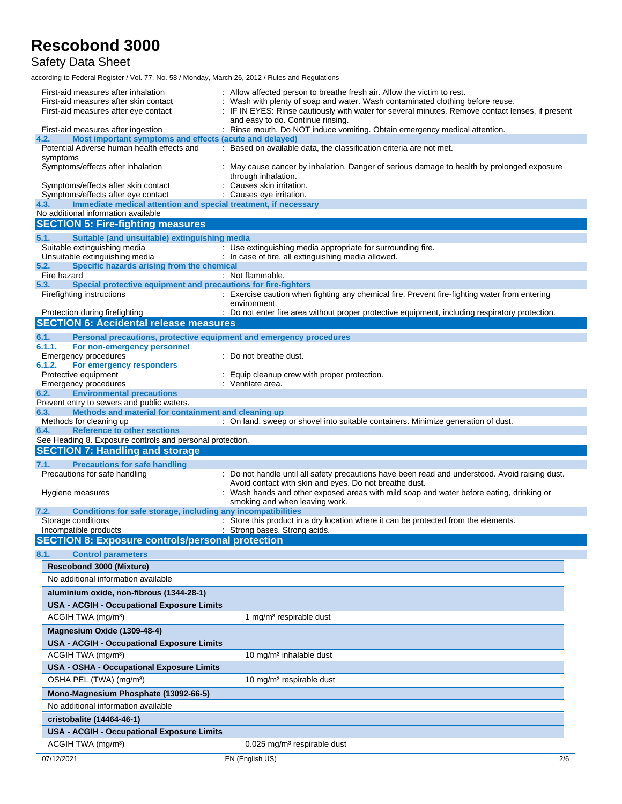Safety Data Sheet

| First-aid measures after inhalation                                                                   | Allow affected person to breathe fresh air. Allow the victim to rest.                                                                                                            |
|-------------------------------------------------------------------------------------------------------|----------------------------------------------------------------------------------------------------------------------------------------------------------------------------------|
| First-aid measures after skin contact<br>First-aid measures after eye contact                         | Wash with plenty of soap and water. Wash contaminated clothing before reuse.<br>: IF IN EYES: Rinse cautiously with water for several minutes. Remove contact lenses, if present |
|                                                                                                       | and easy to do. Continue rinsing.                                                                                                                                                |
| First-aid measures after ingestion<br>Most important symptoms and effects (acute and delayed)<br>4.2. | : Rinse mouth. Do NOT induce vomiting. Obtain emergency medical attention.                                                                                                       |
| Potential Adverse human health effects and                                                            | : Based on available data, the classification criteria are not met.                                                                                                              |
| symptoms<br>Symptoms/effects after inhalation                                                         | : May cause cancer by inhalation. Danger of serious damage to health by prolonged exposure                                                                                       |
| Symptoms/effects after skin contact                                                                   | through inhalation.<br>Causes skin irritation.                                                                                                                                   |
| Symptoms/effects after eye contact                                                                    | : Causes eye irritation.                                                                                                                                                         |
| Immediate medical attention and special treatment, if necessary<br>4.3.                               |                                                                                                                                                                                  |
| No additional information available                                                                   |                                                                                                                                                                                  |
| <b>SECTION 5: Fire-fighting measures</b>                                                              |                                                                                                                                                                                  |
| 5.1.<br>Suitable (and unsuitable) extinguishing media<br>Suitable extinguishing media                 | : Use extinguishing media appropriate for surrounding fire.                                                                                                                      |
| Unsuitable extinguishing media                                                                        | : In case of fire, all extinguishing media allowed.                                                                                                                              |
| Specific hazards arising from the chemical<br>5.2.                                                    |                                                                                                                                                                                  |
| Fire hazard<br>5.3.<br>Special protective equipment and precautions for fire-fighters                 | : Not flammable.                                                                                                                                                                 |
| Firefighting instructions                                                                             | : Exercise caution when fighting any chemical fire. Prevent fire-fighting water from entering                                                                                    |
| Protection during firefighting                                                                        | environment.<br>: Do not enter fire area without proper protective equipment, including respiratory protection.                                                                  |
| <b>SECTION 6: Accidental release measures</b>                                                         |                                                                                                                                                                                  |
| 6.1.<br>Personal precautions, protective equipment and emergency procedures                           |                                                                                                                                                                                  |
| 6.1.1.<br>For non-emergency personnel                                                                 |                                                                                                                                                                                  |
| <b>Emergency procedures</b><br>6.1.2.<br>For emergency responders                                     | : Do not breathe dust.                                                                                                                                                           |
| Protective equipment                                                                                  | Equip cleanup crew with proper protection.                                                                                                                                       |
| <b>Emergency procedures</b>                                                                           | : Ventilate area.                                                                                                                                                                |
| <b>Environmental precautions</b><br>6.2.<br>Prevent entry to sewers and public waters.                |                                                                                                                                                                                  |
| Methods and material for containment and cleaning up<br>6.3.                                          |                                                                                                                                                                                  |
| Methods for cleaning up                                                                               | : On land, sweep or shovel into suitable containers. Minimize generation of dust.                                                                                                |
|                                                                                                       |                                                                                                                                                                                  |
| <b>Reference to other sections</b><br>6.4.                                                            |                                                                                                                                                                                  |
| See Heading 8. Exposure controls and personal protection.                                             |                                                                                                                                                                                  |
| <b>SECTION 7: Handling and storage</b>                                                                |                                                                                                                                                                                  |
| 7.1.<br><b>Precautions for safe handling</b>                                                          |                                                                                                                                                                                  |
| Precautions for safe handling                                                                         | : Do not handle until all safety precautions have been read and understood. Avoid raising dust.<br>Avoid contact with skin and eyes. Do not breathe dust.                        |
| Hygiene measures                                                                                      | : Wash hands and other exposed areas with mild soap and water before eating, drinking or                                                                                         |
|                                                                                                       | smoking and when leaving work.                                                                                                                                                   |
| <b>Conditions for safe storage, including any incompatibilities</b><br>7.2.<br>Storage conditions     | : Store this product in a dry location where it can be protected from the elements.                                                                                              |
| Incompatible products                                                                                 | : Strong bases. Strong acids.                                                                                                                                                    |
| <b>SECTION 8: Exposure controls/personal protection</b>                                               |                                                                                                                                                                                  |
| 8.1.<br><b>Control parameters</b>                                                                     |                                                                                                                                                                                  |
| <b>Rescobond 3000 (Mixture)</b>                                                                       |                                                                                                                                                                                  |
| No additional information available                                                                   |                                                                                                                                                                                  |
| aluminium oxide, non-fibrous (1344-28-1)                                                              |                                                                                                                                                                                  |
| <b>USA - ACGIH - Occupational Exposure Limits</b>                                                     |                                                                                                                                                                                  |
| ACGIH TWA (mg/m <sup>3</sup> )                                                                        | 1 mg/m <sup>3</sup> respirable dust                                                                                                                                              |
| Magnesium Oxide (1309-48-4)                                                                           |                                                                                                                                                                                  |
| USA - ACGIH - Occupational Exposure Limits                                                            |                                                                                                                                                                                  |
| ACGIH TWA (mg/m <sup>3</sup> )                                                                        | 10 mg/m <sup>3</sup> inhalable dust                                                                                                                                              |
| USA - OSHA - Occupational Exposure Limits                                                             |                                                                                                                                                                                  |
| OSHA PEL (TWA) (mg/m <sup>3</sup> )                                                                   | 10 mg/m <sup>3</sup> respirable dust                                                                                                                                             |
| Mono-Magnesium Phosphate (13092-66-5)                                                                 |                                                                                                                                                                                  |
| No additional information available                                                                   |                                                                                                                                                                                  |
| cristobalite (14464-46-1)                                                                             |                                                                                                                                                                                  |
| USA - ACGIH - Occupational Exposure Limits                                                            |                                                                                                                                                                                  |
| ACGIH TWA (mg/m <sup>3</sup> )                                                                        | 0.025 mg/m <sup>3</sup> respirable dust<br>EN (English US)                                                                                                                       |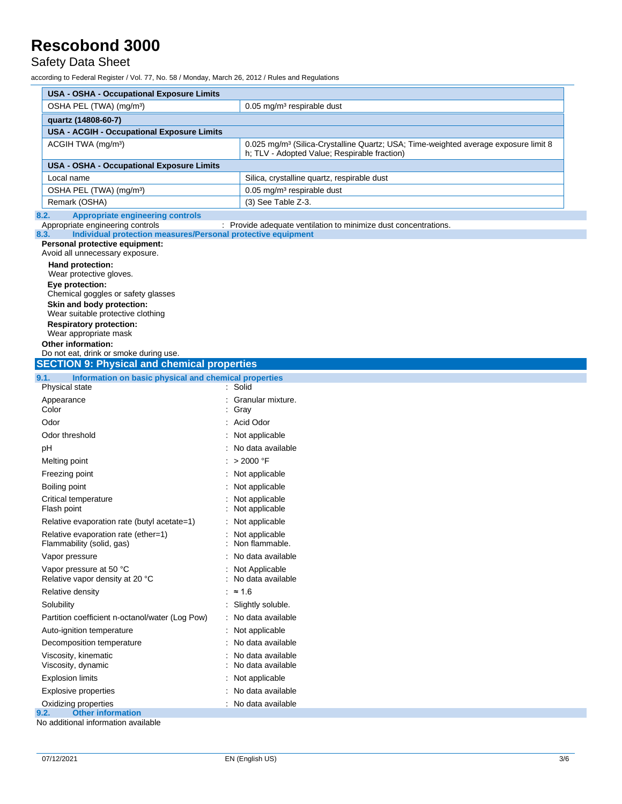Safety Data Sheet

| <b>USA - OSHA - Occupational Exposure Limits</b>                                                                                                                                                                                                                                           |                                                                                                                                                 |  |  |  |
|--------------------------------------------------------------------------------------------------------------------------------------------------------------------------------------------------------------------------------------------------------------------------------------------|-------------------------------------------------------------------------------------------------------------------------------------------------|--|--|--|
| OSHA PEL (TWA) (mg/m <sup>3</sup> )<br>$0.05$ mg/m <sup>3</sup> respirable dust                                                                                                                                                                                                            |                                                                                                                                                 |  |  |  |
| quartz (14808-60-7)                                                                                                                                                                                                                                                                        |                                                                                                                                                 |  |  |  |
| <b>USA - ACGIH - Occupational Exposure Limits</b>                                                                                                                                                                                                                                          |                                                                                                                                                 |  |  |  |
| ACGIH TWA (mg/m <sup>3</sup> )                                                                                                                                                                                                                                                             | 0.025 mg/m <sup>3</sup> (Silica-Crystalline Quartz; USA; Time-weighted average exposure limit 8<br>h; TLV - Adopted Value; Respirable fraction) |  |  |  |
| USA - OSHA - Occupational Exposure Limits                                                                                                                                                                                                                                                  |                                                                                                                                                 |  |  |  |
| Local name                                                                                                                                                                                                                                                                                 | Silica, crystalline quartz, respirable dust                                                                                                     |  |  |  |
| OSHA PEL (TWA) (mg/m <sup>3</sup> )                                                                                                                                                                                                                                                        | 0.05 mg/m <sup>3</sup> respirable dust                                                                                                          |  |  |  |
| Remark (OSHA)                                                                                                                                                                                                                                                                              | (3) See Table Z-3.                                                                                                                              |  |  |  |
| <b>Appropriate engineering controls</b><br>8.2.<br>Appropriate engineering controls<br>Individual protection measures/Personal protective equipment<br>8.3.<br>Personal protective equipment:                                                                                              | : Provide adequate ventilation to minimize dust concentrations.                                                                                 |  |  |  |
| Avoid all unnecessary exposure.<br>Hand protection:<br>Wear protective gloves.<br>Eye protection:<br>Chemical goggles or safety glasses<br>Skin and body protection:<br>Wear suitable protective clothing<br><b>Respiratory protection:</b><br>Wear appropriate mask<br>Other information: |                                                                                                                                                 |  |  |  |
| Do not eat, drink or smoke during use.<br><b>SECTION 9: Physical and chemical properties</b>                                                                                                                                                                                               |                                                                                                                                                 |  |  |  |
| 9.1.<br>Information on basic physical and chemical properties                                                                                                                                                                                                                              |                                                                                                                                                 |  |  |  |
| Physical state                                                                                                                                                                                                                                                                             | : Solid                                                                                                                                         |  |  |  |
| Appearance                                                                                                                                                                                                                                                                                 | Granular mixture.                                                                                                                               |  |  |  |
| Color                                                                                                                                                                                                                                                                                      | Gray                                                                                                                                            |  |  |  |
| Odor                                                                                                                                                                                                                                                                                       | Acid Odor                                                                                                                                       |  |  |  |
| Odor threshold                                                                                                                                                                                                                                                                             | Not applicable                                                                                                                                  |  |  |  |
| рH                                                                                                                                                                                                                                                                                         | No data available                                                                                                                               |  |  |  |
| Melting point                                                                                                                                                                                                                                                                              | : > 2000 °F                                                                                                                                     |  |  |  |
| Freezing point                                                                                                                                                                                                                                                                             | : Not applicable                                                                                                                                |  |  |  |
| Boiling point                                                                                                                                                                                                                                                                              | Not applicable                                                                                                                                  |  |  |  |
| Critical temperature<br>Flash point                                                                                                                                                                                                                                                        | Not applicable<br>Not applicable                                                                                                                |  |  |  |
| Relative evaporation rate (butyl acetate=1)                                                                                                                                                                                                                                                | Not applicable                                                                                                                                  |  |  |  |
| Relative evaporation rate (ether=1)<br>Flammability (solid, gas)                                                                                                                                                                                                                           | Not applicable<br>Non flammable.                                                                                                                |  |  |  |
| Vapor pressure                                                                                                                                                                                                                                                                             | No data available                                                                                                                               |  |  |  |
| Vapor pressure at 50 °C<br>Relative vapor density at 20 °C                                                                                                                                                                                                                                 | Not Applicable<br>No data available                                                                                                             |  |  |  |
| Relative density                                                                                                                                                                                                                                                                           | : $\approx 1.6$                                                                                                                                 |  |  |  |
| Solubility                                                                                                                                                                                                                                                                                 | Slightly soluble.                                                                                                                               |  |  |  |
| Partition coefficient n-octanol/water (Log Pow)                                                                                                                                                                                                                                            | No data available                                                                                                                               |  |  |  |
| Auto-ignition temperature                                                                                                                                                                                                                                                                  | Not applicable                                                                                                                                  |  |  |  |
| Decomposition temperature                                                                                                                                                                                                                                                                  | No data available                                                                                                                               |  |  |  |
| Viscosity, kinematic<br>Viscosity, dynamic                                                                                                                                                                                                                                                 | No data available<br>No data available                                                                                                          |  |  |  |
|                                                                                                                                                                                                                                                                                            |                                                                                                                                                 |  |  |  |
|                                                                                                                                                                                                                                                                                            | Not applicable                                                                                                                                  |  |  |  |
| <b>Explosion limits</b><br><b>Explosive properties</b>                                                                                                                                                                                                                                     | No data available                                                                                                                               |  |  |  |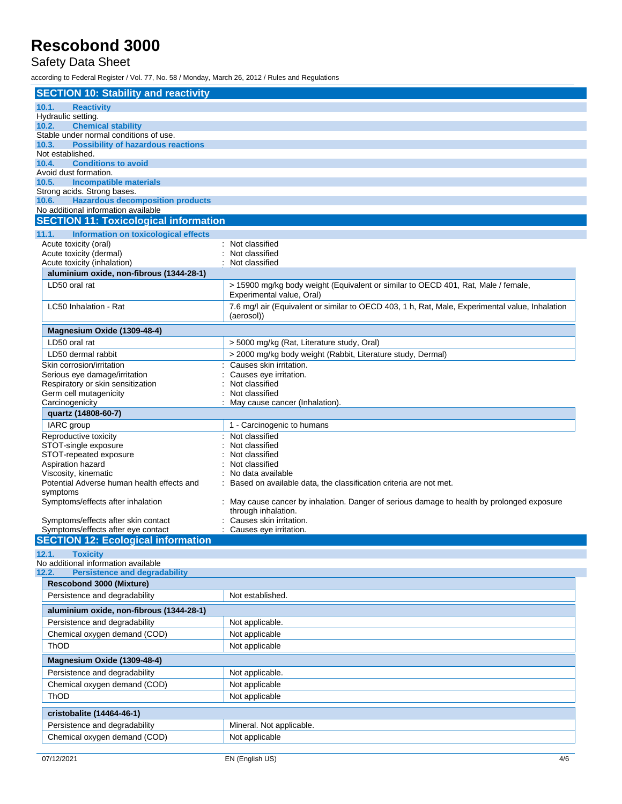#### Safety Data Sheet

| <b>SECTION 10: Stability and reactivity</b>                  |                                                                                                 |  |  |  |
|--------------------------------------------------------------|-------------------------------------------------------------------------------------------------|--|--|--|
| 10.1.<br><b>Reactivity</b>                                   |                                                                                                 |  |  |  |
| Hydraulic setting.                                           |                                                                                                 |  |  |  |
| <b>Chemical stability</b><br>10.2.                           |                                                                                                 |  |  |  |
| Stable under normal conditions of use.                       |                                                                                                 |  |  |  |
| <b>Possibility of hazardous reactions</b><br>10.3.           |                                                                                                 |  |  |  |
| Not established.                                             |                                                                                                 |  |  |  |
| <b>Conditions to avoid</b><br>10.4.<br>Avoid dust formation. |                                                                                                 |  |  |  |
| <b>Incompatible materials</b><br>10.5.                       |                                                                                                 |  |  |  |
| Strong acids. Strong bases.                                  |                                                                                                 |  |  |  |
| <b>Hazardous decomposition products</b><br>10.6.             |                                                                                                 |  |  |  |
| No additional information available                          |                                                                                                 |  |  |  |
| <b>SECTION 11: Toxicological information</b>                 |                                                                                                 |  |  |  |
| 11.1.<br>Information on toxicological effects                |                                                                                                 |  |  |  |
| Acute toxicity (oral)                                        | : Not classified                                                                                |  |  |  |
| Acute toxicity (dermal)                                      | Not classified                                                                                  |  |  |  |
| Acute toxicity (inhalation)                                  | Not classified                                                                                  |  |  |  |
| aluminium oxide, non-fibrous (1344-28-1)                     |                                                                                                 |  |  |  |
| LD50 oral rat                                                | > 15900 mg/kg body weight (Equivalent or similar to OECD 401, Rat, Male / female,               |  |  |  |
|                                                              | Experimental value, Oral)                                                                       |  |  |  |
| LC50 Inhalation - Rat                                        | 7.6 mg/l air (Equivalent or similar to OECD 403, 1 h, Rat, Male, Experimental value, Inhalation |  |  |  |
|                                                              | (aerosol))                                                                                      |  |  |  |
| Magnesium Oxide (1309-48-4)                                  |                                                                                                 |  |  |  |
| LD50 oral rat                                                | > 5000 mg/kg (Rat, Literature study, Oral)                                                      |  |  |  |
| LD50 dermal rabbit                                           | > 2000 mg/kg body weight (Rabbit, Literature study, Dermal)                                     |  |  |  |
| Skin corrosion/irritation                                    | Causes skin irritation.                                                                         |  |  |  |
| Serious eye damage/irritation                                | Causes eye irritation.                                                                          |  |  |  |
| Respiratory or skin sensitization                            | Not classified                                                                                  |  |  |  |
| Germ cell mutagenicity                                       | Not classified                                                                                  |  |  |  |
| Carcinogenicity                                              | May cause cancer (Inhalation).                                                                  |  |  |  |
| quartz (14808-60-7)                                          |                                                                                                 |  |  |  |
| IARC group                                                   | 1 - Carcinogenic to humans                                                                      |  |  |  |
| Reproductive toxicity                                        | Not classified                                                                                  |  |  |  |
| STOT-single exposure                                         | Not classified                                                                                  |  |  |  |
| STOT-repeated exposure                                       | Not classified<br>Not classified                                                                |  |  |  |
| Aspiration hazard<br>Viscosity, kinematic                    | No data available                                                                               |  |  |  |
| Potential Adverse human health effects and                   | Based on available data, the classification criteria are not met.                               |  |  |  |
| symptoms                                                     |                                                                                                 |  |  |  |
| Symptoms/effects after inhalation                            | May cause cancer by inhalation. Danger of serious damage to health by prolonged exposure        |  |  |  |
|                                                              | through inhalation.                                                                             |  |  |  |
| Symptoms/effects after skin contact                          | Causes skin irritation.                                                                         |  |  |  |
| Symptoms/effects after eye contact                           | Causes eye irritation.                                                                          |  |  |  |
| <b>SECTION 12: Ecological information</b>                    |                                                                                                 |  |  |  |
| 12.1.<br><b>Toxicity</b>                                     |                                                                                                 |  |  |  |
| No additional information available                          |                                                                                                 |  |  |  |
| <b>Persistence and degradability</b><br>12.2.                |                                                                                                 |  |  |  |
| <b>Rescobond 3000 (Mixture)</b>                              |                                                                                                 |  |  |  |
| Persistence and degradability                                | Not established.                                                                                |  |  |  |
| aluminium oxide, non-fibrous (1344-28-1)                     |                                                                                                 |  |  |  |
| Persistence and degradability                                | Not applicable.                                                                                 |  |  |  |
| Chemical oxygen demand (COD)                                 | Not applicable                                                                                  |  |  |  |
| ThOD                                                         | Not applicable                                                                                  |  |  |  |
| Magnesium Oxide (1309-48-4)                                  |                                                                                                 |  |  |  |
| Persistence and degradability                                | Not applicable.                                                                                 |  |  |  |
| Chemical oxygen demand (COD)                                 | Not applicable                                                                                  |  |  |  |
| ThOD                                                         | Not applicable                                                                                  |  |  |  |
|                                                              |                                                                                                 |  |  |  |
| cristobalite (14464-46-1)                                    |                                                                                                 |  |  |  |
| Persistence and degradability                                | Mineral. Not applicable.                                                                        |  |  |  |
| Chemical oxygen demand (COD)                                 | Not applicable                                                                                  |  |  |  |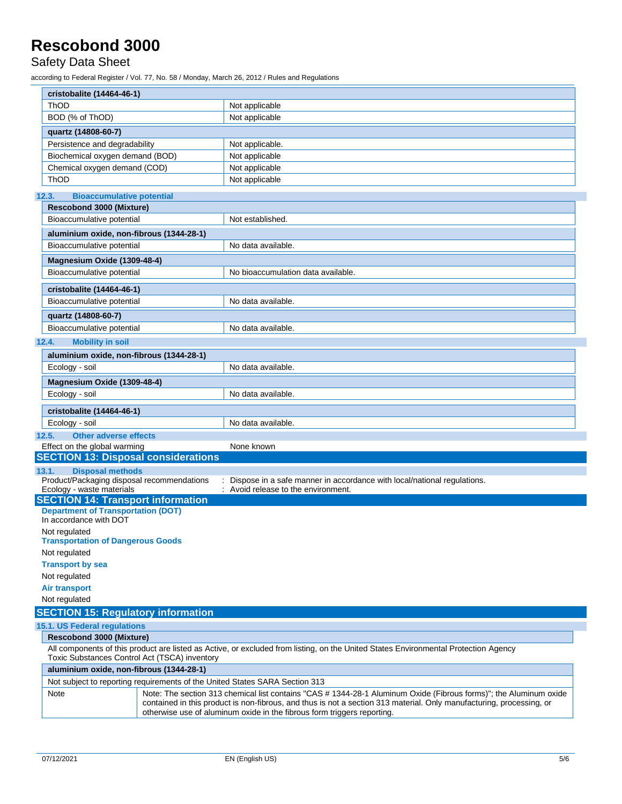#### Safety Data Sheet

|       | cristobalite (14464-46-1)                                                      |                                                                                                                                                                                                                                                                                                                      |  |  |  |
|-------|--------------------------------------------------------------------------------|----------------------------------------------------------------------------------------------------------------------------------------------------------------------------------------------------------------------------------------------------------------------------------------------------------------------|--|--|--|
|       | <b>ThOD</b>                                                                    | Not applicable                                                                                                                                                                                                                                                                                                       |  |  |  |
|       | BOD (% of ThOD)                                                                | Not applicable                                                                                                                                                                                                                                                                                                       |  |  |  |
|       | quartz (14808-60-7)                                                            |                                                                                                                                                                                                                                                                                                                      |  |  |  |
|       | Persistence and degradability                                                  | Not applicable.                                                                                                                                                                                                                                                                                                      |  |  |  |
|       | Biochemical oxygen demand (BOD)                                                | Not applicable                                                                                                                                                                                                                                                                                                       |  |  |  |
|       | Chemical oxygen demand (COD)                                                   | Not applicable                                                                                                                                                                                                                                                                                                       |  |  |  |
|       | ThOD                                                                           | Not applicable                                                                                                                                                                                                                                                                                                       |  |  |  |
|       |                                                                                |                                                                                                                                                                                                                                                                                                                      |  |  |  |
|       | <b>Bioaccumulative potential</b><br>12.3.<br><b>Rescobond 3000 (Mixture)</b>   |                                                                                                                                                                                                                                                                                                                      |  |  |  |
|       | Bioaccumulative potential                                                      | Not established.                                                                                                                                                                                                                                                                                                     |  |  |  |
|       |                                                                                |                                                                                                                                                                                                                                                                                                                      |  |  |  |
|       | aluminium oxide, non-fibrous (1344-28-1)                                       |                                                                                                                                                                                                                                                                                                                      |  |  |  |
|       | Bioaccumulative potential                                                      | No data available.                                                                                                                                                                                                                                                                                                   |  |  |  |
|       | Magnesium Oxide (1309-48-4)                                                    |                                                                                                                                                                                                                                                                                                                      |  |  |  |
|       | Bioaccumulative potential                                                      | No bioaccumulation data available.                                                                                                                                                                                                                                                                                   |  |  |  |
|       | cristobalite (14464-46-1)                                                      |                                                                                                                                                                                                                                                                                                                      |  |  |  |
|       | Bioaccumulative potential                                                      | No data available.                                                                                                                                                                                                                                                                                                   |  |  |  |
|       | quartz (14808-60-7)                                                            |                                                                                                                                                                                                                                                                                                                      |  |  |  |
|       | Bioaccumulative potential                                                      | No data available.                                                                                                                                                                                                                                                                                                   |  |  |  |
| 12.4. | <b>Mobility in soil</b>                                                        |                                                                                                                                                                                                                                                                                                                      |  |  |  |
|       | aluminium oxide, non-fibrous (1344-28-1)                                       |                                                                                                                                                                                                                                                                                                                      |  |  |  |
|       | Ecology - soil                                                                 | No data available.                                                                                                                                                                                                                                                                                                   |  |  |  |
|       | Magnesium Oxide (1309-48-4)                                                    |                                                                                                                                                                                                                                                                                                                      |  |  |  |
|       |                                                                                |                                                                                                                                                                                                                                                                                                                      |  |  |  |
|       | Ecology - soil<br>No data available.                                           |                                                                                                                                                                                                                                                                                                                      |  |  |  |
|       | cristobalite (14464-46-1)                                                      |                                                                                                                                                                                                                                                                                                                      |  |  |  |
|       | Ecology - soil                                                                 | No data available.                                                                                                                                                                                                                                                                                                   |  |  |  |
| 12.5. | <b>Other adverse effects</b>                                                   |                                                                                                                                                                                                                                                                                                                      |  |  |  |
|       | Effect on the global warming                                                   | None known                                                                                                                                                                                                                                                                                                           |  |  |  |
|       | <b>SECTION 13: Disposal considerations</b>                                     |                                                                                                                                                                                                                                                                                                                      |  |  |  |
|       | <b>Disposal methods</b><br>13.1.<br>Product/Packaging disposal recommendations | Dispose in a safe manner in accordance with local/national regulations.                                                                                                                                                                                                                                              |  |  |  |
|       | Ecology - waste materials                                                      | Avoid release to the environment.                                                                                                                                                                                                                                                                                    |  |  |  |
|       | <b>SECTION 14: Transport information</b>                                       |                                                                                                                                                                                                                                                                                                                      |  |  |  |
|       | <b>Department of Transportation (DOT)</b>                                      |                                                                                                                                                                                                                                                                                                                      |  |  |  |
|       | In accordance with DOT                                                         |                                                                                                                                                                                                                                                                                                                      |  |  |  |
|       | Not regulated<br><b>Transportation of Dangerous Goods</b>                      |                                                                                                                                                                                                                                                                                                                      |  |  |  |
|       | Not regulated                                                                  |                                                                                                                                                                                                                                                                                                                      |  |  |  |
|       | <b>Transport by sea</b>                                                        |                                                                                                                                                                                                                                                                                                                      |  |  |  |
|       | Not regulated                                                                  |                                                                                                                                                                                                                                                                                                                      |  |  |  |
|       | <b>Air transport</b>                                                           |                                                                                                                                                                                                                                                                                                                      |  |  |  |
|       | Not regulated                                                                  |                                                                                                                                                                                                                                                                                                                      |  |  |  |
|       | <b>SECTION 15: Regulatory information</b>                                      |                                                                                                                                                                                                                                                                                                                      |  |  |  |
|       | 15.1. US Federal regulations                                                   |                                                                                                                                                                                                                                                                                                                      |  |  |  |
|       | <b>Rescobond 3000 (Mixture)</b>                                                |                                                                                                                                                                                                                                                                                                                      |  |  |  |
|       |                                                                                | All components of this product are listed as Active, or excluded from listing, on the United States Environmental Protection Agency                                                                                                                                                                                  |  |  |  |
|       | Toxic Substances Control Act (TSCA) inventory                                  |                                                                                                                                                                                                                                                                                                                      |  |  |  |
|       | aluminium oxide, non-fibrous (1344-28-1)                                       |                                                                                                                                                                                                                                                                                                                      |  |  |  |
|       | Not subject to reporting requirements of the United States SARA Section 313    |                                                                                                                                                                                                                                                                                                                      |  |  |  |
|       | Note                                                                           | Note: The section 313 chemical list contains "CAS # 1344-28-1 Aluminum Oxide (Fibrous forms)"; the Aluminum oxide<br>contained in this product is non-fibrous, and thus is not a section 313 material. Only manufacturing, processing, or<br>otherwise use of aluminum oxide in the fibrous form triggers reporting. |  |  |  |